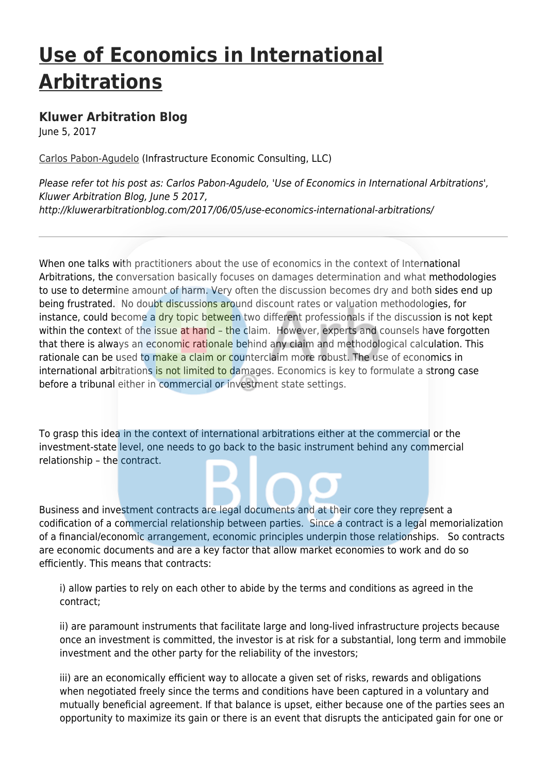## **[Use of Economics in International](http://kluwerarbitrationblog.com/2017/06/05/use-economics-international-arbitrations/) [Arbitrations](http://kluwerarbitrationblog.com/2017/06/05/use-economics-international-arbitrations/)**

## **[Kluwer Arbitration Blog](http://kluwerarbitrationblog.com)**

June 5, 2017

[Carlos Pabon-Agudelo](http://kluwerarbitrationblog.com/author/carlospabonagudelo1/) (Infrastructure Economic Consulting, LLC)

Please refer tot his post as: Carlos Pabon-Agudelo, 'Use of Economics in International Arbitrations', Kluwer Arbitration Blog, June 5 2017, http://kluwerarbitrationblog.com/2017/06/05/use-economics-international-arbitrations/

When one talks with practitioners about the use of economics in the context of International Arbitrations, the conversation basically focuses on damages determination and what methodologies to use to determine amount of harm. Very often the discussion becomes dry and both sides end up being frustrated. No doubt discussions around discount rates or valuation methodologies, for instance, could become a dry topic between two different professionals if the discussion is not kept within the context of the issue at hand – the claim. However, experts and counsels have forgotten that there is always an economic rationale behind any claim and methodological calculation. This rationale can be used to make a claim or counterclaim more robust. The use of economics in international arbitrations is not limited to damages. Economics is key to formulate a strong case before a tribunal either in commercial or investment state settings.

To grasp this idea in the context of international arbitrations either at the commercial or the investment-state level, one needs to go back to the basic instrument behind any commercial relationship – the contract.

Business and investment contracts are legal documents and at their core they represent a codification of a commercial relationship between parties. Since a contract is a legal memorialization of a financial/economic arrangement, economic principles underpin those relationships. So contracts are economic documents and are a key factor that allow market economies to work and do so efficiently. This means that contracts:

i) allow parties to rely on each other to abide by the terms and conditions as agreed in the contract;

ii) are paramount instruments that facilitate large and long-lived infrastructure projects because once an investment is committed, the investor is at risk for a substantial, long term and immobile investment and the other party for the reliability of the investors;

iii) are an economically efficient way to allocate a given set of risks, rewards and obligations when negotiated freely since the terms and conditions have been captured in a voluntary and mutually beneficial agreement. If that balance is upset, either because one of the parties sees an opportunity to maximize its gain or there is an event that disrupts the anticipated gain for one or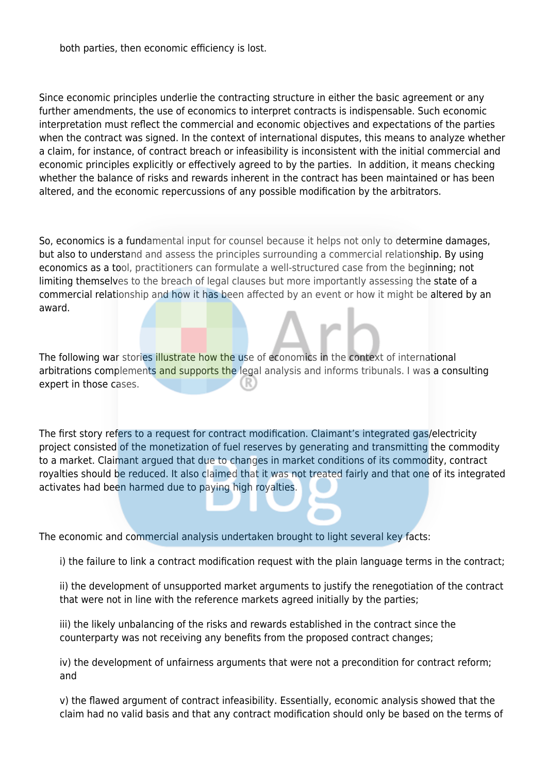both parties, then economic efficiency is lost.

Since economic principles underlie the contracting structure in either the basic agreement or any further amendments, the use of economics to interpret contracts is indispensable. Such economic interpretation must reflect the commercial and economic objectives and expectations of the parties when the contract was signed. In the context of international disputes, this means to analyze whether a claim, for instance, of contract breach or infeasibility is inconsistent with the initial commercial and economic principles explicitly or effectively agreed to by the parties. In addition, it means checking whether the balance of risks and rewards inherent in the contract has been maintained or has been altered, and the economic repercussions of any possible modification by the arbitrators.

So, economics is a fundamental input for counsel because it helps not only to determine damages, but also to understand and assess the principles surrounding a commercial relationship. By using economics as a tool, practitioners can formulate a well-structured case from the beginning; not limiting themselves to the breach of legal clauses but more importantly assessing the state of a commercial relationship and how it has been affected by an event or how it might be altered by an award.

The following war stories illustrate how the use of economics in the context of international arbitrations complements and supports the legal analysis and informs tribunals. I was a consulting expert in those cases.

The first story refers to a request for contract modification. Claimant's integrated gas/electricity project consisted of the monetization of fuel reserves by generating and transmitting the commodity to a market. Claimant argued that due to changes in market conditions of its commodity, contract royalties should be reduced. It also claimed that it was not treated fairly and that one of its integrated activates had been harmed due to paying high royalties.

The economic and commercial analysis undertaken brought to light several key facts:

i) the failure to link a contract modification request with the plain language terms in the contract;

ii) the development of unsupported market arguments to justify the renegotiation of the contract that were not in line with the reference markets agreed initially by the parties;

iii) the likely unbalancing of the risks and rewards established in the contract since the counterparty was not receiving any benefits from the proposed contract changes;

iv) the development of unfairness arguments that were not a precondition for contract reform; and

v) the flawed argument of contract infeasibility. Essentially, economic analysis showed that the claim had no valid basis and that any contract modification should only be based on the terms of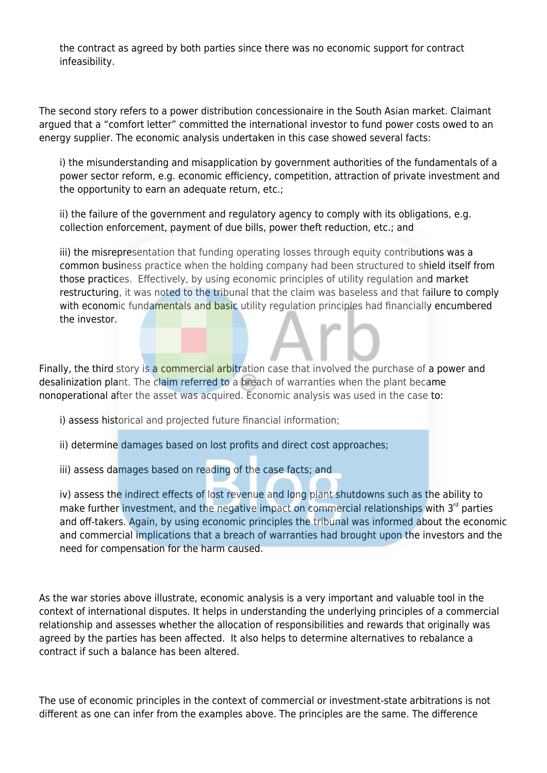the contract as agreed by both parties since there was no economic support for contract infeasibility.

The second story refers to a power distribution concessionaire in the South Asian market. Claimant argued that a "comfort letter" committed the international investor to fund power costs owed to an energy supplier. The economic analysis undertaken in this case showed several facts:

i) the misunderstanding and misapplication by government authorities of the fundamentals of a power sector reform, e.g. economic efficiency, competition, attraction of private investment and the opportunity to earn an adequate return, etc.;

ii) the failure of the government and regulatory agency to comply with its obligations, e.g. collection enforcement, payment of due bills, power theft reduction, etc.; and

iii) the misrepresentation that funding operating losses through equity contributions was a common business practice when the holding company had been structured to shield itself from those practices. Effectively, by using economic principles of utility regulation and market restructuring, it was noted to the tribunal that the claim was baseless and that failure to comply with economic fundamentals and basic utility regulation principles had financially encumbered the investor.

Finally, the third story is a commercial arbitration case that involved the purchase of a power and desalinization plant. The claim referred to a breach of warranties when the plant became nonoperational after the asset was acquired. Economic analysis was used in the case to:

i) assess historical and projected future financial information;

ii) determine damages based on lost profits and direct cost approaches;

iii) assess damages based on reading of the case facts; and

iv) assess the indirect effects of lost revenue and long plant shutdowns such as the ability to make further investment, and the negative impact on commercial relationships with  $3<sup>rd</sup>$  parties and off-takers. Again, by using economic principles the tribunal was informed about the economic and commercial implications that a breach of warranties had brought upon the investors and the need for compensation for the harm caused.

As the war stories above illustrate, economic analysis is a very important and valuable tool in the context of international disputes. It helps in understanding the underlying principles of a commercial relationship and assesses whether the allocation of responsibilities and rewards that originally was agreed by the parties has been affected. It also helps to determine alternatives to rebalance a contract if such a balance has been altered.

The use of economic principles in the context of commercial or investment-state arbitrations is not different as one can infer from the examples above. The principles are the same. The difference